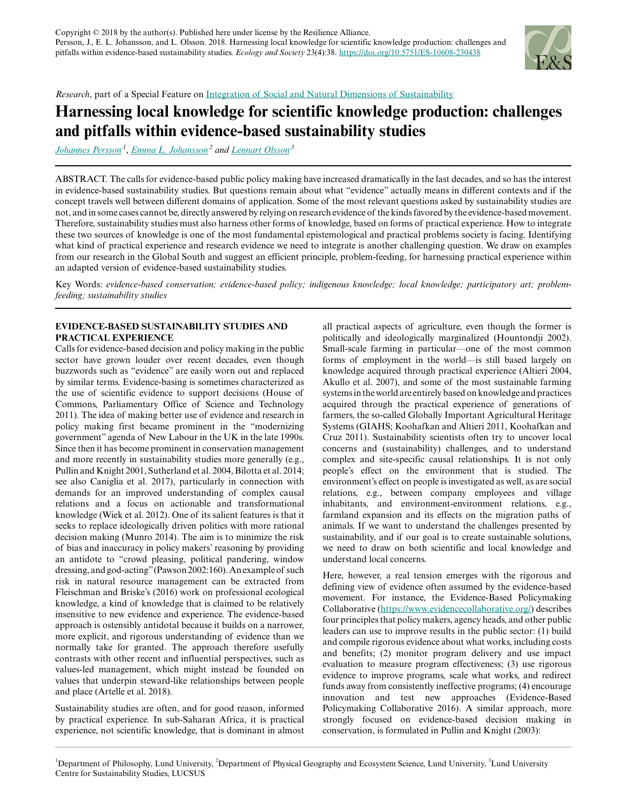

*Research*, part of a Special Feature on [Integration of Social and Natural Dimensions of Sustainability](https://www.ecologyandsociety.org/viewissue.php?sf=135)

# **Harnessing local knowledge for scientific knowledge production: challenges and pitfalls within evidence-based sustainability studies**

*[Johannes Persson](mailto:johannes.persson@fil.lu.se)<sup>1</sup>* , *[Emma L. Johansson](mailto:emma.johansson@nateko.lu.se)<sup>2</sup> and [Lennart Olsson](mailto:lennart.olsson@lucsus.lu.se)<sup>3</sup>*

ABSTRACT. The calls for evidence-based public policy making have increased dramatically in the last decades, and so has the interest in evidence-based sustainability studies. But questions remain about what "evidence" actually means in different contexts and if the concept travels well between different domains of application. Some of the most relevant questions asked by sustainability studies are not, and in some cases cannot be, directly answered by relying on research evidence of the kinds favored by the evidence-based movement. Therefore, sustainability studies must also harness other forms of knowledge, based on forms of practical experience. How to integrate these two sources of knowledge is one of the most fundamental epistemological and practical problems society is facing. Identifying what kind of practical experience and research evidence we need to integrate is another challenging question. We draw on examples from our research in the Global South and suggest an efficient principle, problem-feeding, for harnessing practical experience within an adapted version of evidence-based sustainability studies.

Key Words: *evidence-based conservation; evidence-based policy; indigenous knowledge; local knowledge; participatory art; problemfeeding; sustainability studies*

## **EVIDENCE-BASED SUSTAINABILITY STUDIES AND PRACTICAL EXPERIENCE**

Calls for evidence-based decision and policy making in the public sector have grown louder over recent decades, even though buzzwords such as "evidence" are easily worn out and replaced by similar terms. Evidence-basing is sometimes characterized as the use of scientific evidence to support decisions (House of Commons, Parliamentary Office of Science and Technology 2011). The idea of making better use of evidence and research in policy making first became prominent in the "modernizing government" agenda of New Labour in the UK in the late 1990s. Since then it has become prominent in conservation management and more recently in sustainability studies more generally (e.g., Pullin and Knight 2001, Sutherland et al. 2004, Bilotta et al. 2014; see also Caniglia et al. 2017), particularly in connection with demands for an improved understanding of complex causal relations and a focus on actionable and transformational knowledge (Wiek et al. 2012). One of its salient features is that it seeks to replace ideologically driven politics with more rational decision making (Munro 2014). The aim is to minimize the risk of bias and inaccuracy in policy makers' reasoning by providing an antidote to "crowd pleasing, political pandering, window dressing, and god-acting" (Pawson 2002:160). An example of such risk in natural resource management can be extracted from Fleischman and Briske's (2016) work on professional ecological knowledge, a kind of knowledge that is claimed to be relatively insensitive to new evidence and experience. The evidence-based approach is ostensibly antidotal because it builds on a narrower, more explicit, and rigorous understanding of evidence than we normally take for granted. The approach therefore usefully contrasts with other recent and influential perspectives, such as values-led management, which might instead be founded on values that underpin steward-like relationships between people and place (Artelle et al. 2018).

Sustainability studies are often, and for good reason, informed by practical experience. In sub-Saharan Africa, it is practical experience, not scientific knowledge, that is dominant in almost all practical aspects of agriculture, even though the former is politically and ideologically marginalized (Hountondji 2002). Small-scale farming in particular—one of the most common forms of employment in the world—is still based largely on knowledge acquired through practical experience (Altieri 2004, Akullo et al. 2007), and some of the most sustainable farming systems in the world are entirely based on knowledge and practices acquired through the practical experience of generations of farmers, the so-called Globally Important Agricultural Heritage Systems (GIAHS; Koohafkan and Altieri 2011, Koohafkan and Cruz 2011). Sustainability scientists often try to uncover local concerns and (sustainability) challenges, and to understand complex and site-specific causal relationships. It is not only people's effect on the environment that is studied. The environment's effect on people is investigated as well, as are social relations, e.g., between company employees and village inhabitants, and environment-environment relations, e.g., farmland expansion and its effects on the migration paths of animals. If we want to understand the challenges presented by sustainability, and if our goal is to create sustainable solutions, we need to draw on both scientific and local knowledge and understand local concerns.

Here, however, a real tension emerges with the rigorous and defining view of evidence often assumed by the evidence-based movement. For instance, the Evidence-Based Policymaking Collaborative (<https://www.evidencecollaborative.org/>) describes four principles that policy makers, agency heads, and other public leaders can use to improve results in the public sector: (1) build and compile rigorous evidence about what works, including costs and benefits; (2) monitor program delivery and use impact evaluation to measure program effectiveness; (3) use rigorous evidence to improve programs, scale what works, and redirect funds away from consistently ineffective programs; (4) encourage innovation and test new approaches (Evidence-Based Policymaking Collaborative 2016). A similar approach, more strongly focused on evidence-based decision making in conservation, is formulated in Pullin and Knight (2003):

<sup>&</sup>lt;sup>1</sup>Department of Philosophy, Lund University, <sup>2</sup>Department of Physical Geography and Ecosystem Science, Lund University, <sup>3</sup>Lund University Centre for Sustainability Studies, LUCSUS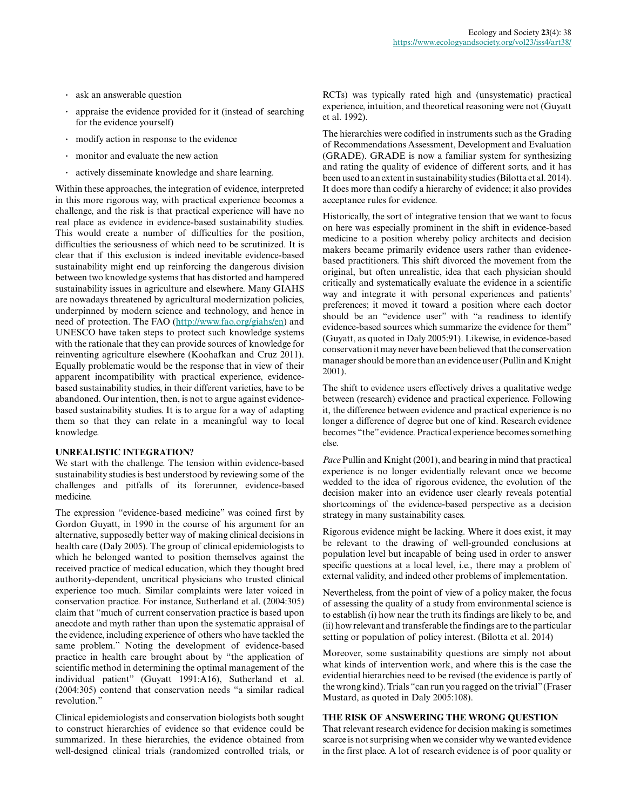- **.** ask an answerable question
- **.** appraise the evidence provided for it (instead of searching for the evidence yourself)
- **.** modify action in response to the evidence
- **.** monitor and evaluate the new action
- **.** actively disseminate knowledge and share learning.

Within these approaches, the integration of evidence, interpreted in this more rigorous way, with practical experience becomes a challenge, and the risk is that practical experience will have no real place as evidence in evidence-based sustainability studies. This would create a number of difficulties for the position, difficulties the seriousness of which need to be scrutinized. It is clear that if this exclusion is indeed inevitable evidence-based sustainability might end up reinforcing the dangerous division between two knowledge systems that has distorted and hampered sustainability issues in agriculture and elsewhere. Many GIAHS are nowadays threatened by agricultural modernization policies, underpinned by modern science and technology, and hence in need of protection. The FAO (<http://www.fao.org/giahs/en>) and UNESCO have taken steps to protect such knowledge systems with the rationale that they can provide sources of knowledge for reinventing agriculture elsewhere (Koohafkan and Cruz 2011). Equally problematic would be the response that in view of their apparent incompatibility with practical experience, evidencebased sustainability studies, in their different varieties, have to be abandoned. Our intention, then, is not to argue against evidencebased sustainability studies. It is to argue for a way of adapting them so that they can relate in a meaningful way to local knowledge.

## **UNREALISTIC INTEGRATION?**

We start with the challenge. The tension within evidence-based sustainability studies is best understood by reviewing some of the challenges and pitfalls of its forerunner, evidence-based medicine.

The expression "evidence-based medicine" was coined first by Gordon Guyatt, in 1990 in the course of his argument for an alternative, supposedly better way of making clinical decisions in health care (Daly 2005). The group of clinical epidemiologists to which he belonged wanted to position themselves against the received practice of medical education, which they thought bred authority-dependent, uncritical physicians who trusted clinical experience too much. Similar complaints were later voiced in conservation practice. For instance, Sutherland et al. (2004:305) claim that "much of current conservation practice is based upon anecdote and myth rather than upon the systematic appraisal of the evidence, including experience of others who have tackled the same problem." Noting the development of evidence-based practice in health care brought about by "the application of scientific method in determining the optimal management of the individual patient" (Guyatt 1991:A16), Sutherland et al. (2004:305) contend that conservation needs "a similar radical revolution."

Clinical epidemiologists and conservation biologists both sought to construct hierarchies of evidence so that evidence could be summarized. In these hierarchies, the evidence obtained from well-designed clinical trials (randomized controlled trials, or

RCTs) was typically rated high and (unsystematic) practical experience, intuition, and theoretical reasoning were not (Guyatt et al. 1992).

The hierarchies were codified in instruments such as the Grading of Recommendations Assessment, Development and Evaluation (GRADE). GRADE is now a familiar system for synthesizing and rating the quality of evidence of different sorts, and it has been used to an extent in sustainability studies (Bilotta et al. 2014). It does more than codify a hierarchy of evidence; it also provides acceptance rules for evidence.

Historically, the sort of integrative tension that we want to focus on here was especially prominent in the shift in evidence-based medicine to a position whereby policy architects and decision makers became primarily evidence users rather than evidencebased practitioners. This shift divorced the movement from the original, but often unrealistic, idea that each physician should critically and systematically evaluate the evidence in a scientific way and integrate it with personal experiences and patients' preferences; it moved it toward a position where each doctor should be an "evidence user" with "a readiness to identify evidence-based sources which summarize the evidence for them" (Guyatt, as quoted in Daly 2005:91). Likewise, in evidence-based conservation it may never have been believed that the conservation manager should be more than an evidence user (Pullin and Knight 2001).

The shift to evidence users effectively drives a qualitative wedge between (research) evidence and practical experience. Following it, the difference between evidence and practical experience is no longer a difference of degree but one of kind. Research evidence becomes "the" evidence. Practical experience becomes something else.

*Pace* Pullin and Knight (2001), and bearing in mind that practical experience is no longer evidentially relevant once we become wedded to the idea of rigorous evidence, the evolution of the decision maker into an evidence user clearly reveals potential shortcomings of the evidence-based perspective as a decision strategy in many sustainability cases.

Rigorous evidence might be lacking. Where it does exist, it may be relevant to the drawing of well-grounded conclusions at population level but incapable of being used in order to answer specific questions at a local level, i.e., there may a problem of external validity, and indeed other problems of implementation.

Nevertheless, from the point of view of a policy maker, the focus of assessing the quality of a study from environmental science is to establish (i) how near the truth its findings are likely to be, and (ii) how relevant and transferable the findings are to the particular setting or population of policy interest. (Bilotta et al. 2014)

Moreover, some sustainability questions are simply not about what kinds of intervention work, and where this is the case the evidential hierarchies need to be revised (the evidence is partly of the wrong kind). Trials "can run you ragged on the trivial" (Fraser Mustard, as quoted in Daly 2005:108).

#### **THE RISK OF ANSWERING THE WRONG QUESTION**

That relevant research evidence for decision making is sometimes scarce is not surprising when we consider why we wanted evidence in the first place. A lot of research evidence is of poor quality or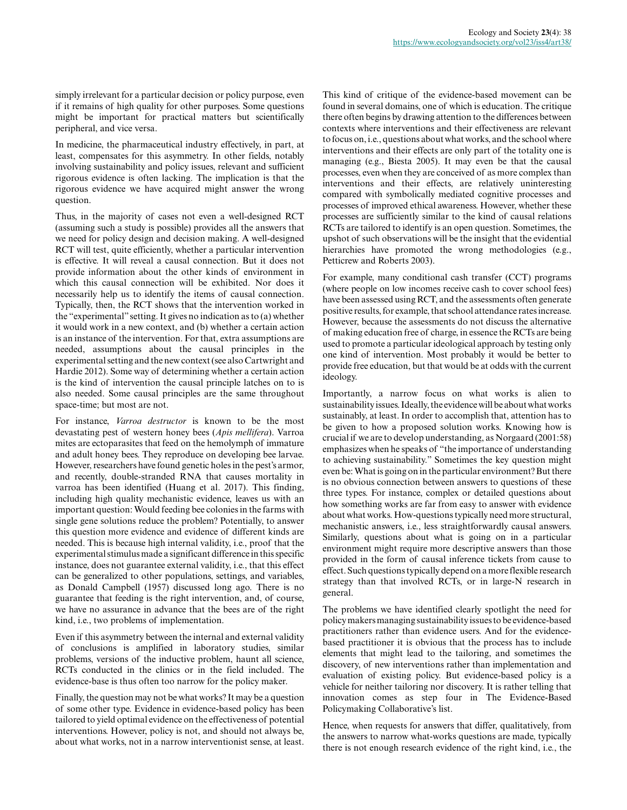simply irrelevant for a particular decision or policy purpose, even if it remains of high quality for other purposes. Some questions might be important for practical matters but scientifically peripheral, and vice versa.

In medicine, the pharmaceutical industry effectively, in part, at least, compensates for this asymmetry. In other fields, notably involving sustainability and policy issues, relevant and sufficient rigorous evidence is often lacking. The implication is that the rigorous evidence we have acquired might answer the wrong question.

Thus, in the majority of cases not even a well-designed RCT (assuming such a study is possible) provides all the answers that we need for policy design and decision making. A well-designed RCT will test, quite efficiently, whether a particular intervention is effective. It will reveal a causal connection. But it does not provide information about the other kinds of environment in which this causal connection will be exhibited. Nor does it necessarily help us to identify the items of causal connection. Typically, then, the RCT shows that the intervention worked in the "experimental" setting. It gives no indication as to (a) whether it would work in a new context, and (b) whether a certain action is an instance of the intervention. For that, extra assumptions are needed, assumptions about the causal principles in the experimental setting and the new context (see also Cartwright and Hardie 2012). Some way of determining whether a certain action is the kind of intervention the causal principle latches on to is also needed. Some causal principles are the same throughout space-time; but most are not.

For instance, *Varroa destructor* is known to be the most devastating pest of western honey bees (*Apis mellifera*). Varroa mites are ectoparasites that feed on the hemolymph of immature and adult honey bees. They reproduce on developing bee larvae. However, researchers have found genetic holes in the pest's armor, and recently, double-stranded RNA that causes mortality in varroa has been identified (Huang et al. 2017). This finding, including high quality mechanistic evidence, leaves us with an important question: Would feeding bee colonies in the farms with single gene solutions reduce the problem? Potentially, to answer this question more evidence and evidence of different kinds are needed. This is because high internal validity, i.e., proof that the experimental stimulus made a significant difference in this specific instance, does not guarantee external validity, i.e., that this effect can be generalized to other populations, settings, and variables, as Donald Campbell (1957) discussed long ago. There is no guarantee that feeding is the right intervention, and, of course, we have no assurance in advance that the bees are of the right kind, i.e., two problems of implementation.

Even if this asymmetry between the internal and external validity of conclusions is amplified in laboratory studies, similar problems, versions of the inductive problem, haunt all science, RCTs conducted in the clinics or in the field included. The evidence-base is thus often too narrow for the policy maker.

Finally, the question may not be what works? It may be a question of some other type. Evidence in evidence-based policy has been tailored to yield optimal evidence on the effectiveness of potential interventions. However, policy is not, and should not always be, about what works, not in a narrow interventionist sense, at least. This kind of critique of the evidence-based movement can be found in several domains, one of which is education. The critique there often begins by drawing attention to the differences between contexts where interventions and their effectiveness are relevant to focus on, i.e., questions about what works, and the school where interventions and their effects are only part of the totality one is managing (e.g., Biesta 2005). It may even be that the causal processes, even when they are conceived of as more complex than interventions and their effects, are relatively uninteresting compared with symbolically mediated cognitive processes and processes of improved ethical awareness. However, whether these processes are sufficiently similar to the kind of causal relations RCTs are tailored to identify is an open question. Sometimes, the upshot of such observations will be the insight that the evidential hierarchies have promoted the wrong methodologies (e.g., Petticrew and Roberts 2003).

For example, many conditional cash transfer (CCT) programs (where people on low incomes receive cash to cover school fees) have been assessed using RCT, and the assessments often generate positive results, for example, that school attendance rates increase. However, because the assessments do not discuss the alternative of making education free of charge, in essence the RCTs are being used to promote a particular ideological approach by testing only one kind of intervention. Most probably it would be better to provide free education, but that would be at odds with the current ideology.

Importantly, a narrow focus on what works is alien to sustainability issues. Ideally, the evidence will be about what works sustainably, at least. In order to accomplish that, attention has to be given to how a proposed solution works. Knowing how is crucial if we are to develop understanding, as Norgaard (2001:58) emphasizes when he speaks of "the importance of understanding to achieving sustainability." Sometimes the key question might even be: What is going on in the particular environment? But there is no obvious connection between answers to questions of these three types. For instance, complex or detailed questions about how something works are far from easy to answer with evidence about what works. How-questions typically need more structural, mechanistic answers, i.e., less straightforwardly causal answers. Similarly, questions about what is going on in a particular environment might require more descriptive answers than those provided in the form of causal inference tickets from cause to effect. Such questions typically depend on a more flexible research strategy than that involved RCTs, or in large-N research in general.

The problems we have identified clearly spotlight the need for policy makers managing sustainability issues to be evidence-based practitioners rather than evidence users. And for the evidencebased practitioner it is obvious that the process has to include elements that might lead to the tailoring, and sometimes the discovery, of new interventions rather than implementation and evaluation of existing policy. But evidence-based policy is a vehicle for neither tailoring nor discovery. It is rather telling that innovation comes as step four in The Evidence-Based Policymaking Collaborative's list.

Hence, when requests for answers that differ, qualitatively, from the answers to narrow what-works questions are made, typically there is not enough research evidence of the right kind, i.e., the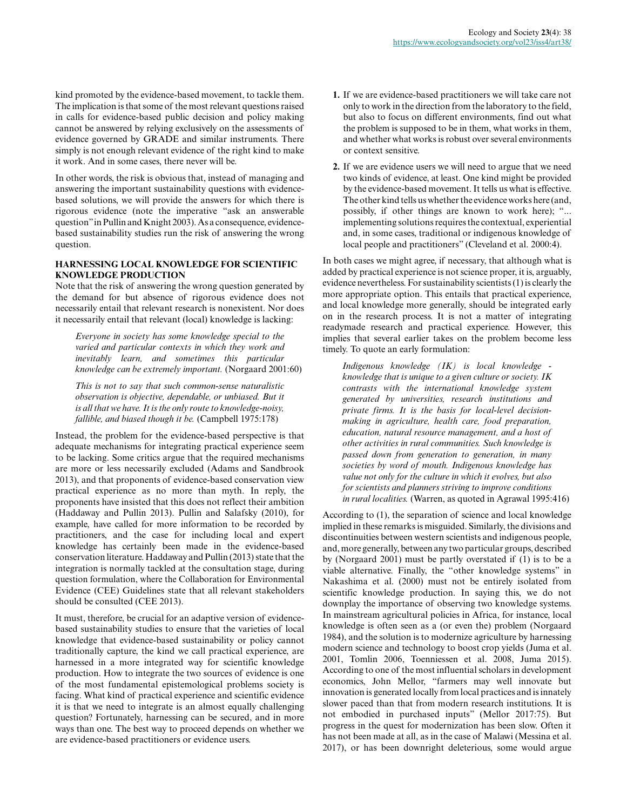kind promoted by the evidence-based movement, to tackle them. The implication is that some of the most relevant questions raised in calls for evidence-based public decision and policy making cannot be answered by relying exclusively on the assessments of evidence governed by GRADE and similar instruments. There simply is not enough relevant evidence of the right kind to make it work. And in some cases, there never will be.

In other words, the risk is obvious that, instead of managing and answering the important sustainability questions with evidencebased solutions, we will provide the answers for which there is rigorous evidence (note the imperative "ask an answerable question" in Pullin and Knight 2003). As a consequence, evidencebased sustainability studies run the risk of answering the wrong question.

## **HARNESSING LOCAL KNOWLEDGE FOR SCIENTIFIC KNOWLEDGE PRODUCTION**

Note that the risk of answering the wrong question generated by the demand for but absence of rigorous evidence does not necessarily entail that relevant research is nonexistent. Nor does it necessarily entail that relevant (local) knowledge is lacking:

*Everyone in society has some knowledge special to the varied and particular contexts in which they work and inevitably learn, and sometimes this particular knowledge can be extremely important.* (Norgaard 2001:60)

*This is not to say that such common-sense naturalistic observation is objective, dependable, or unbiased. But it is all that we have. It is the only route to knowledge-noisy, fallible, and biased though it be.* (Campbell 1975:178)

Instead, the problem for the evidence-based perspective is that adequate mechanisms for integrating practical experience seem to be lacking. Some critics argue that the required mechanisms are more or less necessarily excluded (Adams and Sandbrook 2013), and that proponents of evidence-based conservation view practical experience as no more than myth. In reply, the proponents have insisted that this does not reflect their ambition (Haddaway and Pullin 2013). Pullin and Salafsky (2010), for example, have called for more information to be recorded by practitioners, and the case for including local and expert knowledge has certainly been made in the evidence-based conservation literature. Haddaway and Pullin (2013) state that the integration is normally tackled at the consultation stage, during question formulation, where the Collaboration for Environmental Evidence (CEE) Guidelines state that all relevant stakeholders should be consulted (CEE 2013).

It must, therefore, be crucial for an adaptive version of evidencebased sustainability studies to ensure that the varieties of local knowledge that evidence-based sustainability or policy cannot traditionally capture, the kind we call practical experience, are harnessed in a more integrated way for scientific knowledge production. How to integrate the two sources of evidence is one of the most fundamental epistemological problems society is facing. What kind of practical experience and scientific evidence it is that we need to integrate is an almost equally challenging question? Fortunately, harnessing can be secured, and in more ways than one. The best way to proceed depends on whether we are evidence-based practitioners or evidence users.

- **1.** If we are evidence-based practitioners we will take care not only to work in the direction from the laboratory to the field, but also to focus on different environments, find out what the problem is supposed to be in them, what works in them, and whether what works is robust over several environments or context sensitive.
- **2.** If we are evidence users we will need to argue that we need two kinds of evidence, at least. One kind might be provided by the evidence-based movement. It tells us what is effective. The other kind tells us whether the evidence works here (and, possibly, if other things are known to work here); "... implementing solutions requires the contextual, experiential and, in some cases, traditional or indigenous knowledge of local people and practitioners" (Cleveland et al. 2000:4).

In both cases we might agree, if necessary, that although what is added by practical experience is not science proper, it is, arguably, evidence nevertheless. For sustainability scientists (1) is clearly the more appropriate option. This entails that practical experience, and local knowledge more generally, should be integrated early on in the research process. It is not a matter of integrating readymade research and practical experience. However, this implies that several earlier takes on the problem become less timely. To quote an early formulation:

*Indigenous knowledge (IK) is local knowledge knowledge that is unique to a given culture or society. IK contrasts with the international knowledge system generated by universities, research institutions and private firms. It is the basis for local-level decisionmaking in agriculture, health care, food preparation, education, natural resource management, and a host of other activities in rural communities. Such knowledge is passed down from generation to generation, in many societies by word of mouth. Indigenous knowledge has value not only for the culture in which it evolves, but also for scientists and planners striving to improve conditions in rural localities.* (Warren, as quoted in Agrawal 1995:416)

According to (1), the separation of science and local knowledge implied in these remarks is misguided. Similarly, the divisions and discontinuities between western scientists and indigenous people, and, more generally, between any two particular groups, described by (Norgaard 2001) must be partly overstated if (1) is to be a viable alternative. Finally, the "other knowledge systems" in Nakashima et al. (2000) must not be entirely isolated from scientific knowledge production. In saying this, we do not downplay the importance of observing two knowledge systems. In mainstream agricultural policies in Africa, for instance, local knowledge is often seen as a (or even the) problem (Norgaard 1984), and the solution is to modernize agriculture by harnessing modern science and technology to boost crop yields (Juma et al. 2001, Tomlin 2006, Toenniessen et al. 2008, Juma 2015). According to one of the most influential scholars in development economics, John Mellor, "farmers may well innovate but innovation is generated locally from local practices and is innately slower paced than that from modern research institutions. It is not embodied in purchased inputs" (Mellor 2017:75). But progress in the quest for modernization has been slow. Often it has not been made at all, as in the case of Malawi (Messina et al. 2017), or has been downright deleterious, some would argue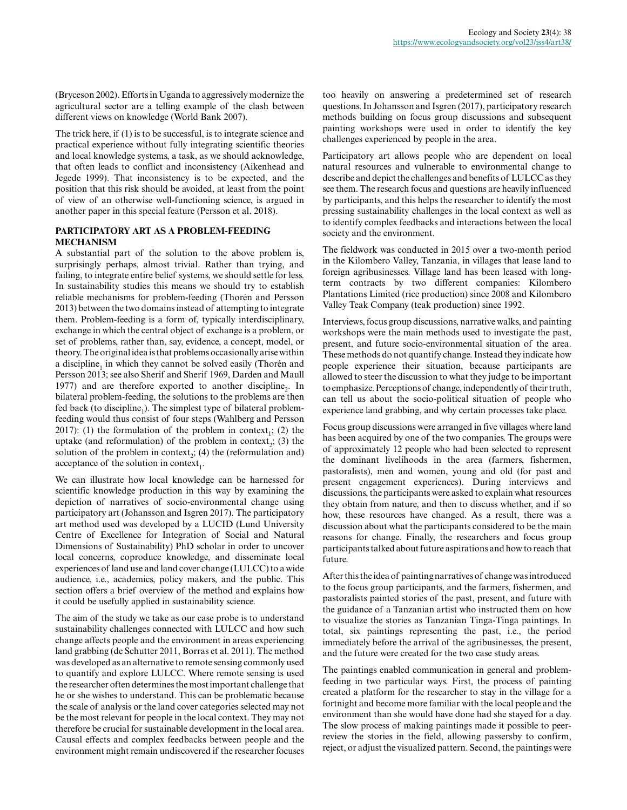(Bryceson 2002). Efforts in Uganda to aggressively modernize the agricultural sector are a telling example of the clash between different views on knowledge (World Bank 2007).

The trick here, if (1) is to be successful, is to integrate science and practical experience without fully integrating scientific theories and local knowledge systems, a task, as we should acknowledge, that often leads to conflict and inconsistency (Aikenhead and Jegede 1999). That inconsistency is to be expected, and the position that this risk should be avoided, at least from the point of view of an otherwise well-functioning science, is argued in another paper in this special feature (Persson et al. 2018).

### **PARTICIPATORY ART AS A PROBLEM-FEEDING MECHANISM**

A substantial part of the solution to the above problem is, surprisingly perhaps, almost trivial. Rather than trying, and failing, to integrate entire belief systems, we should settle for less. In sustainability studies this means we should try to establish reliable mechanisms for problem-feeding (Thorén and Persson 2013) between the two domains instead of attempting to integrate them. Problem-feeding is a form of, typically interdisciplinary, exchange in which the central object of exchange is a problem, or set of problems, rather than, say, evidence, a concept, model, or theory. The original idea is that problems occasionally arise within a discipline<sub>1</sub> in which they cannot be solved easily (Thorén and Persson 2013; see also Sherif and Sherif 1969, Darden and Maull 1977) and are therefore exported to another discipline<sub>2</sub>. In bilateral problem-feeding, the solutions to the problems are then fed back (to discipline<sub>1</sub>). The simplest type of bilateral problemfeeding would thus consist of four steps (Wahlberg and Persson 2017): (1) the formulation of the problem in context<sub>1</sub>; (2) the uptake (and reformulation) of the problem in context<sub>2</sub>; (3) the solution of the problem in context<sub>2</sub>; (4) the (reformulation and) acceptance of the solution in context<sub>1</sub>.

We can illustrate how local knowledge can be harnessed for scientific knowledge production in this way by examining the depiction of narratives of socio-environmental change using participatory art (Johansson and Isgren 2017). The participatory art method used was developed by a LUCID (Lund University Centre of Excellence for Integration of Social and Natural Dimensions of Sustainability) PhD scholar in order to uncover local concerns, coproduce knowledge, and disseminate local experiences of land use and land cover change (LULCC) to a wide audience, i.e., academics, policy makers, and the public. This section offers a brief overview of the method and explains how it could be usefully applied in sustainability science.

The aim of the study we take as our case probe is to understand sustainability challenges connected with LULCC and how such change affects people and the environment in areas experiencing land grabbing (de Schutter 2011, Borras et al. 2011). The method was developed as an alternative to remote sensing commonly used to quantify and explore LULCC. Where remote sensing is used the researcher often determines the most important challenge that he or she wishes to understand. This can be problematic because the scale of analysis or the land cover categories selected may not be the most relevant for people in the local context. They may not therefore be crucial for sustainable development in the local area. Causal effects and complex feedbacks between people and the environment might remain undiscovered if the researcher focuses

too heavily on answering a predetermined set of research questions. In Johansson and Isgren (2017), participatory research methods building on focus group discussions and subsequent painting workshops were used in order to identify the key challenges experienced by people in the area.

Participatory art allows people who are dependent on local natural resources and vulnerable to environmental change to describe and depict the challenges and benefits of LULCC as they see them. The research focus and questions are heavily influenced by participants, and this helps the researcher to identify the most pressing sustainability challenges in the local context as well as to identify complex feedbacks and interactions between the local society and the environment.

The fieldwork was conducted in 2015 over a two-month period in the Kilombero Valley, Tanzania, in villages that lease land to foreign agribusinesses. Village land has been leased with longterm contracts by two different companies: Kilombero Plantations Limited (rice production) since 2008 and Kilombero Valley Teak Company (teak production) since 1992.

Interviews, focus group discussions, narrative walks, and painting workshops were the main methods used to investigate the past, present, and future socio-environmental situation of the area. These methods do not quantify change. Instead they indicate how people experience their situation, because participants are allowed to steer the discussion to what they judge to be important to emphasize. Perceptions of change, independently of their truth, can tell us about the socio-political situation of people who experience land grabbing, and why certain processes take place.

Focus group discussions were arranged in five villages where land has been acquired by one of the two companies. The groups were of approximately 12 people who had been selected to represent the dominant livelihoods in the area (farmers, fishermen, pastoralists), men and women, young and old (for past and present engagement experiences). During interviews and discussions, the participants were asked to explain what resources they obtain from nature, and then to discuss whether, and if so how, these resources have changed. As a result, there was a discussion about what the participants considered to be the main reasons for change. Finally, the researchers and focus group participants talked about future aspirations and how to reach that future.

After this the idea of painting narratives of change was introduced to the focus group participants, and the farmers, fishermen, and pastoralists painted stories of the past, present, and future with the guidance of a Tanzanian artist who instructed them on how to visualize the stories as Tanzanian Tinga-Tinga paintings. In total, six paintings representing the past, i.e., the period immediately before the arrival of the agribusinesses, the present, and the future were created for the two case study areas.

The paintings enabled communication in general and problemfeeding in two particular ways. First, the process of painting created a platform for the researcher to stay in the village for a fortnight and become more familiar with the local people and the environment than she would have done had she stayed for a day. The slow process of making paintings made it possible to peerreview the stories in the field, allowing passersby to confirm, reject, or adjust the visualized pattern. Second, the paintings were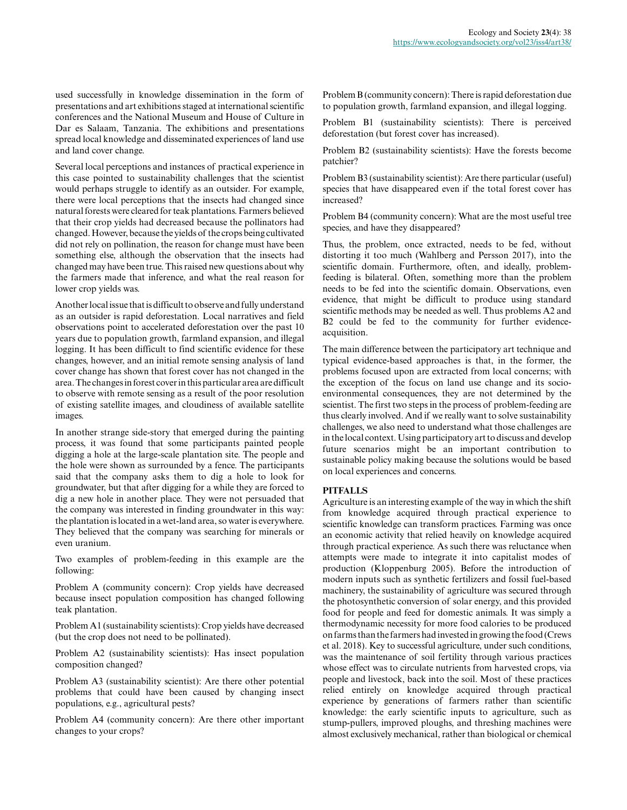used successfully in knowledge dissemination in the form of presentations and art exhibitions staged at international scientific conferences and the National Museum and House of Culture in Dar es Salaam, Tanzania. The exhibitions and presentations spread local knowledge and disseminated experiences of land use and land cover change.

Several local perceptions and instances of practical experience in this case pointed to sustainability challenges that the scientist would perhaps struggle to identify as an outsider. For example, there were local perceptions that the insects had changed since natural forests were cleared for teak plantations. Farmers believed that their crop yields had decreased because the pollinators had changed. However, because the yields of the crops being cultivated did not rely on pollination, the reason for change must have been something else, although the observation that the insects had changed may have been true. This raised new questions about why the farmers made that inference, and what the real reason for lower crop yields was.

Another local issue that is difficult to observe and fully understand as an outsider is rapid deforestation. Local narratives and field observations point to accelerated deforestation over the past 10 years due to population growth, farmland expansion, and illegal logging. It has been difficult to find scientific evidence for these changes, however, and an initial remote sensing analysis of land cover change has shown that forest cover has not changed in the area. The changes in forest cover in this particular area are difficult to observe with remote sensing as a result of the poor resolution of existing satellite images, and cloudiness of available satellite images.

In another strange side-story that emerged during the painting process, it was found that some participants painted people digging a hole at the large-scale plantation site. The people and the hole were shown as surrounded by a fence. The participants said that the company asks them to dig a hole to look for groundwater, but that after digging for a while they are forced to dig a new hole in another place. They were not persuaded that the company was interested in finding groundwater in this way: the plantation is located in a wet-land area, so water is everywhere. They believed that the company was searching for minerals or even uranium.

Two examples of problem-feeding in this example are the following:

Problem A (community concern): Crop yields have decreased because insect population composition has changed following teak plantation.

Problem A1 (sustainability scientists): Crop yields have decreased (but the crop does not need to be pollinated).

Problem A2 (sustainability scientists): Has insect population composition changed?

Problem A3 (sustainability scientist): Are there other potential problems that could have been caused by changing insect populations, e.g., agricultural pests?

Problem A4 (community concern): Are there other important changes to your crops?

Problem B (community concern): There is rapid deforestation due to population growth, farmland expansion, and illegal logging.

Problem B1 (sustainability scientists): There is perceived deforestation (but forest cover has increased).

Problem B2 (sustainability scientists): Have the forests become patchier?

Problem B3 (sustainability scientist): Are there particular (useful) species that have disappeared even if the total forest cover has increased?

Problem B4 (community concern): What are the most useful tree species, and have they disappeared?

Thus, the problem, once extracted, needs to be fed, without distorting it too much (Wahlberg and Persson 2017), into the scientific domain. Furthermore, often, and ideally, problemfeeding is bilateral. Often, something more than the problem needs to be fed into the scientific domain. Observations, even evidence, that might be difficult to produce using standard scientific methods may be needed as well. Thus problems A2 and B2 could be fed to the community for further evidenceacquisition.

The main difference between the participatory art technique and typical evidence-based approaches is that, in the former, the problems focused upon are extracted from local concerns; with the exception of the focus on land use change and its socioenvironmental consequences, they are not determined by the scientist. The first two steps in the process of problem-feeding are thus clearly involved. And if we really want to solve sustainability challenges, we also need to understand what those challenges are in the local context. Using participatory art to discuss and develop future scenarios might be an important contribution to sustainable policy making because the solutions would be based on local experiences and concerns.

## **PITFALLS**

Agriculture is an interesting example of the way in which the shift from knowledge acquired through practical experience to scientific knowledge can transform practices. Farming was once an economic activity that relied heavily on knowledge acquired through practical experience. As such there was reluctance when attempts were made to integrate it into capitalist modes of production (Kloppenburg 2005). Before the introduction of modern inputs such as synthetic fertilizers and fossil fuel-based machinery, the sustainability of agriculture was secured through the photosynthetic conversion of solar energy, and this provided food for people and feed for domestic animals. It was simply a thermodynamic necessity for more food calories to be produced on farms than the farmers had invested in growing the food (Crews et al. 2018). Key to successful agriculture, under such conditions, was the maintenance of soil fertility through various practices whose effect was to circulate nutrients from harvested crops, via people and livestock, back into the soil. Most of these practices relied entirely on knowledge acquired through practical experience by generations of farmers rather than scientific knowledge: the early scientific inputs to agriculture, such as stump-pullers, improved ploughs, and threshing machines were almost exclusively mechanical, rather than biological or chemical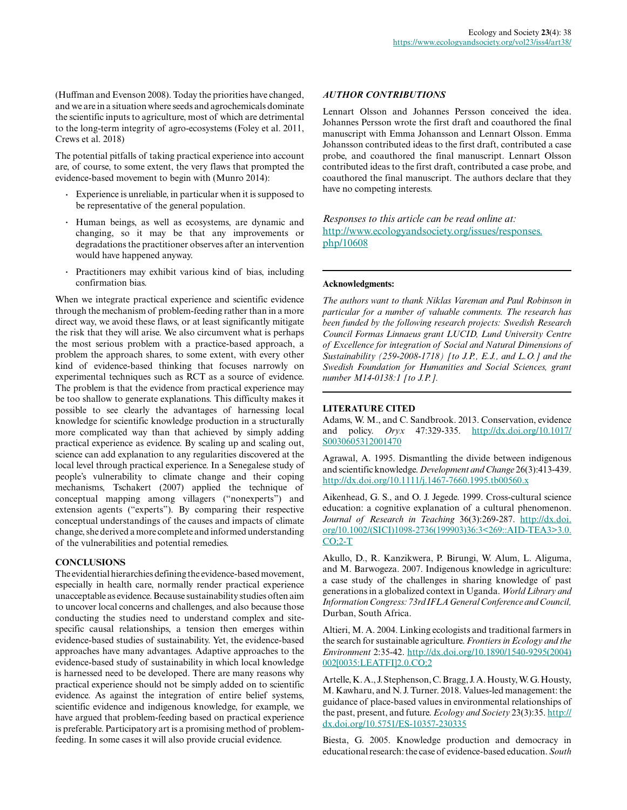(Huffman and Evenson 2008). Today the priorities have changed, and we are in a situation where seeds and agrochemicals dominate the scientific inputs to agriculture, most of which are detrimental to the long-term integrity of agro-ecosystems (Foley et al. 2011, Crews et al. 2018)

The potential pitfalls of taking practical experience into account are, of course, to some extent, the very flaws that prompted the evidence-based movement to begin with (Munro 2014):

- **.** Experience is unreliable, in particular when it is supposed to be representative of the general population.
- **.** Human beings, as well as ecosystems, are dynamic and changing, so it may be that any improvements or degradations the practitioner observes after an intervention would have happened anyway.
- **.** Practitioners may exhibit various kind of bias, including confirmation bias.

When we integrate practical experience and scientific evidence through the mechanism of problem-feeding rather than in a more direct way, we avoid these flaws, or at least significantly mitigate the risk that they will arise. We also circumvent what is perhaps the most serious problem with a practice-based approach, a problem the approach shares, to some extent, with every other kind of evidence-based thinking that focuses narrowly on experimental techniques such as RCT as a source of evidence. The problem is that the evidence from practical experience may be too shallow to generate explanations. This difficulty makes it possible to see clearly the advantages of harnessing local knowledge for scientific knowledge production in a structurally more complicated way than that achieved by simply adding practical experience as evidence. By scaling up and scaling out, science can add explanation to any regularities discovered at the local level through practical experience. In a Senegalese study of people's vulnerability to climate change and their coping mechanisms, Tschakert (2007) applied the technique of conceptual mapping among villagers ("nonexperts") and extension agents ("experts"). By comparing their respective conceptual understandings of the causes and impacts of climate change, she derived a more complete and informed understanding of the vulnerabilities and potential remedies.

## **CONCLUSIONS**

The evidential hierarchies defining the evidence-based movement, especially in health care, normally render practical experience unacceptable as evidence. Because sustainability studies often aim to uncover local concerns and challenges, and also because those conducting the studies need to understand complex and sitespecific causal relationships, a tension then emerges within evidence-based studies of sustainability. Yet, the evidence-based approaches have many advantages. Adaptive approaches to the evidence-based study of sustainability in which local knowledge is harnessed need to be developed. There are many reasons why practical experience should not be simply added on to scientific evidence. As against the integration of entire belief systems, scientific evidence and indigenous knowledge, for example, we have argued that problem-feeding based on practical experience is preferable. Participatory art is a promising method of problemfeeding. In some cases it will also provide crucial evidence.

### *AUTHOR CONTRIBUTIONS*

Lennart Olsson and Johannes Persson conceived the idea. Johannes Persson wrote the first draft and coauthored the final manuscript with Emma Johansson and Lennart Olsson. Emma Johansson contributed ideas to the first draft, contributed a case probe, and coauthored the final manuscript. Lennart Olsson contributed ideas to the first draft, contributed a case probe, and coauthored the final manuscript. The authors declare that they have no competing interests.

*Responses to this article can be read online at:* [http://www.ecologyandsociety.org/issues/responses.](http://www.ecologyandsociety.org/issues/responses.php/10608) [php/10608](http://www.ecologyandsociety.org/issues/responses.php/10608)

#### **Acknowledgments:**

*The authors want to thank Niklas Vareman and Paul Robinson in particular for a number of valuable comments. The research has been funded by the following research projects: Swedish Research Council Formas Linnaeus grant LUCID, Lund University Centre of Excellence for integration of Social and Natural Dimensions of Sustainability (259-2008-1718) [to J.P., E.J., and L.O.] and the Swedish Foundation for Humanities and Social Sciences, grant number M14-0138:1 [to J.P.].*

#### **LITERATURE CITED**

Adams, W. M., and C. Sandbrook. 2013. Conservation, evidence and policy. *Oryx* 47:329-335. [http://dx.doi.org/10.1017/](http://dx.doi.org/10.1017%2FS0030605312001470) [S0030605312001470](http://dx.doi.org/10.1017%2FS0030605312001470) 

Agrawal, A. 1995. Dismantling the divide between indigenous and scientific knowledge. *Development and Change* 26(3):413-439. [http://dx.doi.org/10.1111/j.1467-7660.1995.tb00560.x](http://dx.doi.org/10.1111%2Fj.1467-7660.1995.tb00560.x)

Aikenhead, G. S., and O. J. Jegede. 1999. Cross-cultural science education: a cognitive explanation of a cultural phenomenon. *Journal of Research in Teaching* 36(3):269-287. [http://dx.doi.](http://dx.doi.org/10.1002%2F%28SICI%291098-2736%28199903%2936%3A3%3C269%3A%3AAID-TEA3%3E3.0.CO%3B2-T) [org/10.1002/\(SICI\)1098-2736\(199903\)36:3<269::AID-TEA3>3.0.](http://dx.doi.org/10.1002%2F%28SICI%291098-2736%28199903%2936%3A3%3C269%3A%3AAID-TEA3%3E3.0.CO%3B2-T)  $CO:2-T$ 

Akullo, D., R. Kanzikwera, P. Birungi, W. Alum, L. Aliguma, and M. Barwogeza. 2007. Indigenous knowledge in agriculture: a case study of the challenges in sharing knowledge of past generations in a globalized context in Uganda. *World Library and Information Congress: 73rd IFLA General Conference and Council,* Durban, South Africa.

Altieri, M. A. 2004. Linking ecologists and traditional farmers in the search for sustainable agriculture. *Frontiers in Ecology and the Environment* 2:35-42. [http://dx.doi.org/10.1890/1540-9295\(2004\)](http://dx.doi.org/10.1890%2F1540-9295%282004%29002%5B0035%3ALEATFI%5D2.0.CO%3B2) [002\[0035:LEATFI\]2.0.CO;2](http://dx.doi.org/10.1890%2F1540-9295%282004%29002%5B0035%3ALEATFI%5D2.0.CO%3B2) 

Artelle, K. A., J. Stephenson, C. Bragg, J. A. Housty, W. G. Housty, M. Kawharu, and N. J. Turner. 2018. Values-led management: the guidance of place-based values in environmental relationships of the past, present, and future. *Ecology and Society* 23(3):35. [http://](http://dx.doi.org/10.5751%2FES-10357-230335) [dx.doi.org/10.5751/ES-10357-230335](http://dx.doi.org/10.5751%2FES-10357-230335)

Biesta, G. 2005. Knowledge production and democracy in educational research: the case of evidence-based education. *South*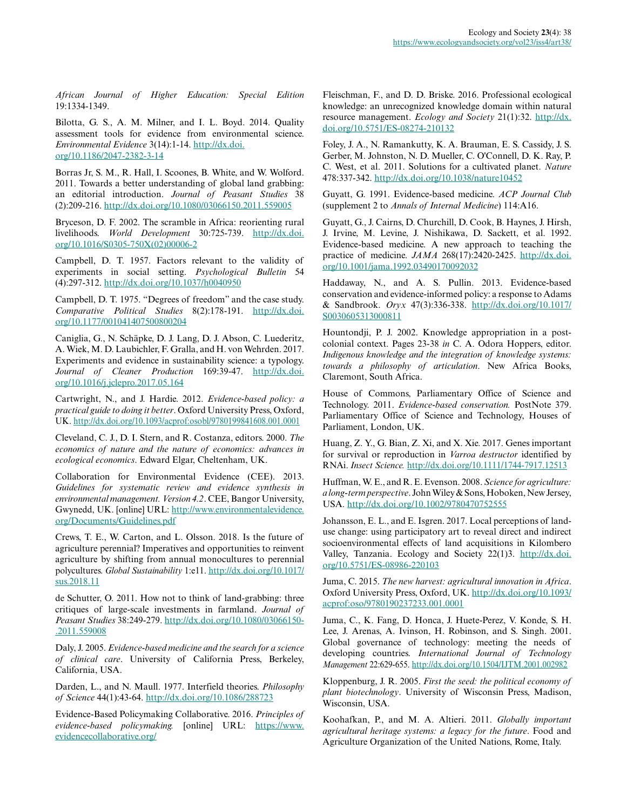*African Journal of Higher Education: Special Edition* 19:1334-1349.

Bilotta, G. S., A. M. Milner, and I. L. Boyd. 2014. Quality assessment tools for evidence from environmental science. *Environmental Evidence* 3(14):1-14. [http://dx.doi.](http://dx.doi.org/10.1186%2F2047-2382-3-14) [org/10.1186/2047-2382-3-14](http://dx.doi.org/10.1186%2F2047-2382-3-14) 

Borras Jr, S. M., R. Hall, I. Scoones, B. White, and W. Wolford. 2011. Towards a better understanding of global land grabbing: an editorial introduction. *Journal of Peasant Studies* 38 (2):209-216. [http://dx.doi.org/10.1080/03066150.2011.559005](http://dx.doi.org/10.1080%2F03066150.2011.559005) 

Bryceson, D. F. 2002. The scramble in Africa: reorienting rural livelihoods. *World Development* 30:725-739. [http://dx.doi.](http://dx.doi.org/10.1016%2FS0305-750X%2802%2900006-2) [org/10.1016/S0305-750X\(02\)00006-2](http://dx.doi.org/10.1016%2FS0305-750X%2802%2900006-2) 

Campbell, D. T. 1957. Factors relevant to the validity of experiments in social setting. *Psychological Bulletin* 54 (4):297-312. [http://dx.doi.org/10.1037/h0040950](http://dx.doi.org/10.1037%2Fh0040950)

Campbell, D. T. 1975. "Degrees of freedom" and the case study. *Comparative Political Studies* 8(2):178-191. [http://dx.doi.](http://dx.doi.org/10.1177%2F001041407500800204) [org/10.1177/001041407500800204](http://dx.doi.org/10.1177%2F001041407500800204)

Caniglia, G., N. Schäpke, D. J. Lang, D. J. Abson, C. Luederitz, A. Wiek, M. D. Laubichler, F. Gralla, and H. von Wehrden. 2017. Experiments and evidence in sustainability science: a typology. *Journal of Cleaner Production* 169:39-47. [http://dx.doi.](http://dx.doi.org/10.1016%2Fj.jclepro.2017.05.164) [org/10.1016/j.jclepro.2017.05.164](http://dx.doi.org/10.1016%2Fj.jclepro.2017.05.164)

Cartwright, N., and J. Hardie. 2012. *Evidence-based policy: a practical guide to doing it better*. Oxford University Press, Oxford, UK. [http://dx.doi.org/10.1093/acprof:osobl/9780199841608.001.0001](http://dx.doi.org/10.1093%2Facprof%3Aosobl%2F9780199841608.001.0001) 

Cleveland, C. J., D. I. Stern, and R. Costanza, editors. 2000. *The economics of nature and the nature of economics: advances in ecological economics*. Edward Elgar, Cheltenham, UK.

Collaboration for Environmental Evidence (CEE). 2013. *Guidelines for systematic review and evidence synthesis in environmental management. Version 4.2*. CEE, Bangor University, Gwynedd, UK. [online] URL: [http://www.environmentalevidence.](http://www.environmentalevidence.org/Documents/Guidelines.pdf) [org/Documents/Guidelines.pdf](http://www.environmentalevidence.org/Documents/Guidelines.pdf)

Crews, T. E., W. Carton, and L. Olsson. 2018. Is the future of agriculture perennial? Imperatives and opportunities to reinvent agriculture by shifting from annual monocultures to perennial polycultures. *Global Sustainability* 1:e11. [http://dx.doi.org/10.1017/](http://dx.doi.org/10.1017%2Fsus.2018.11) [sus.2018.11](http://dx.doi.org/10.1017%2Fsus.2018.11)

de Schutter, O. 2011. How not to think of land-grabbing: three critiques of large-scale investments in farmland. *Journal of Peasant Studies* 38:249-279. [http://dx.doi.org/10.1080/03066150](http://dx.doi.org/10.1080%2F03066150.2011.559008) [.2011.559008](http://dx.doi.org/10.1080%2F03066150.2011.559008) 

Daly, J. 2005. *Evidence-based medicine and the search for a science of clinical care*. University of California Press, Berkeley, California, USA.

Darden, L., and N. Maull. 1977. Interfield theories. *Philosophy of Science* 44(1):43-64. [http://dx.doi.org/10.1086/288723](http://dx.doi.org/10.1086%2F288723) 

Evidence-Based Policymaking Collaborative. 2016. *Principles of evidence-based policymaking.* [online] URL: [https://www.](https://www.evidencecollaborative.org/) [evidencecollaborative.org/](https://www.evidencecollaborative.org/) 

Fleischman, F., and D. D. Briske. 2016. Professional ecological knowledge: an unrecognized knowledge domain within natural resource management. *Ecology and Society* 21(1):32. [http://dx.](http://dx.doi.org/10.5751/ES-08274-210132) [doi.org/10.5751/ES-08274-210132](http://dx.doi.org/10.5751/ES-08274-210132)

Foley, J. A., N. Ramankutty, K. A. Brauman, E. S. Cassidy, J. S. Gerber, M. Johnston, N. D. Mueller, C. O'Connell, D. K. Ray, P. C. West, et al. 2011. Solutions for a cultivated planet. *Nature* 478:337-342. [http://dx.doi.org/10.1038/nature10452](http://dx.doi.org/10.1038%2Fnature10452) 

Guyatt, G. 1991. Evidence-based medicine. *ACP Journal Club* (supplement 2 to *Annals of Internal Medicine*) 114:A16.

Guyatt, G., J. Cairns, D. Churchill, D. Cook, B. Haynes, J. Hirsh, J. Irvine, M. Levine, J. Nishikawa, D. Sackett, et al. 1992. Evidence-based medicine. A new approach to teaching the practice of medicine. *JAMA* 268(17):2420-2425. [http://dx.doi.](http://dx.doi.org/10.1001%2Fjama.1992.03490170092032) [org/10.1001/jama.1992.03490170092032](http://dx.doi.org/10.1001%2Fjama.1992.03490170092032) 

Haddaway, N., and A. S. Pullin. 2013. Evidence-based conservation and evidence-informed policy: a response to Adams & Sandbrook. *Oryx* 47(3):336-338. [http://dx.doi.org/10.1017/](http://dx.doi.org/10.1017%2FS0030605313000811) [S0030605313000811](http://dx.doi.org/10.1017%2FS0030605313000811) 

Hountondji, P. J. 2002. Knowledge appropriation in a postcolonial context. Pages 23-38 *in* C. A. Odora Hoppers, editor. *Indigenous knowledge and the integration of knowledge systems: towards a philosophy of articulation*. New Africa Books, Claremont, South Africa.

House of Commons, Parliamentary Office of Science and Technology. 2011. *Evidence-based conservation.* PostNote 379. Parliamentary Office of Science and Technology, Houses of Parliament, London, UK.

Huang, Z. Y., G. Bian, Z. Xi, and X. Xie. 2017. Genes important for survival or reproduction in *Varroa destructor* identified by RNAi. *Insect Science.* [http://dx.doi.org/10.1111/1744-7917.12513](http://dx.doi.org/10.1111%2F1744-7917.12513) 

Huffman, W. E., and R. E. Evenson. 2008. *Science for agriculture: a long-term perspective*. John Wiley & Sons, Hoboken, New Jersey, USA. [http://dx.doi.org/10.1002/9780470752555](http://dx.doi.org/10.1002%2F9780470752555) 

Johansson, E. L., and E. Isgren. 2017. Local perceptions of landuse change: using participatory art to reveal direct and indirect socioenvironmental effects of land acquisitions in Kilombero Valley, Tanzania. Ecology and Society 22(1)3. [http://dx.doi.](http://dx.doi.org/10.5751%2FES-08986-220103) [org/10.5751/ES-08986-220103](http://dx.doi.org/10.5751%2FES-08986-220103) 

Juma, C. 2015. *The new harvest: agricultural innovation in Africa*. Oxford University Press, Oxford, UK. [http://dx.doi.org/10.1093/](http://dx.doi.org/10.1093%2Facprof%3Aoso%2F9780190237233.001.0001) [acprof:oso/9780190237233.001.0001](http://dx.doi.org/10.1093%2Facprof%3Aoso%2F9780190237233.001.0001) 

Juma, C., K. Fang, D. Honca, J. Huete-Perez, V. Konde, S. H. Lee, J. Arenas, A. Ivinson, H. Robinson, and S. Singh. 2001. Global governance of technology: meeting the needs of developing countries. *International Journal of Technology Management* 22:629-655. [http://dx.doi.org/10.1504/IJTM.2001.002982](http://dx.doi.org/10.1504%2FIJTM.2001.002982) 

Kloppenburg, J. R. 2005. *First the seed: the political economy of plant biotechnology*. University of Wisconsin Press, Madison, Wisconsin, USA.

Koohafkan, P., and M. A. Altieri. 2011. *Globally important agricultural heritage systems: a legacy for the future*. Food and Agriculture Organization of the United Nations, Rome, Italy.